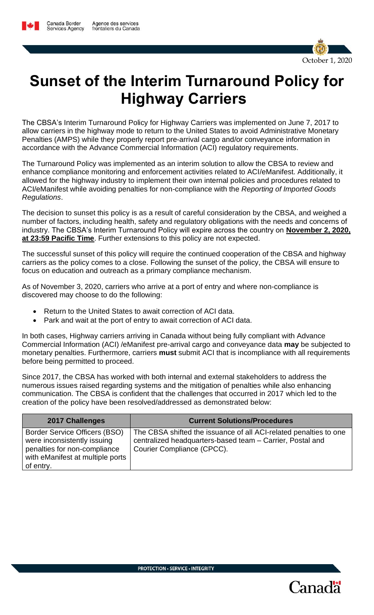

## **Sunset of the Interim Turnaround Policy for Highway Carriers**

The CBSA's Interim Turnaround Policy for Highway Carriers was implemented on June 7, 2017 to allow carriers in the highway mode to return to the United States to avoid Administrative Monetary Penalties (AMPS) while they properly report pre-arrival cargo and/or conveyance information in accordance with the Advance Commercial Information (ACI) regulatory requirements.

The Turnaround Policy was implemented as an interim solution to allow the CBSA to review and enhance compliance monitoring and enforcement activities related to ACI/eManifest. Additionally, it allowed for the highway industry to implement their own internal policies and procedures related to ACI/eManifest while avoiding penalties for non-compliance with the *Reporting of Imported Goods Regulations*.

The decision to sunset this policy is as a result of careful consideration by the CBSA, and weighed a number of factors, including health, safety and regulatory obligations with the needs and concerns of industry. The CBSA's Interim Turnaround Policy will expire across the country on **November 2, 2020, at 23:59 Pacific Time**. Further extensions to this policy are not expected.

The successful sunset of this policy will require the continued cooperation of the CBSA and highway carriers as the policy comes to a close. Following the sunset of the policy, the CBSA will ensure to focus on education and outreach as a primary compliance mechanism.

As of November 3, 2020, carriers who arrive at a port of entry and where non-compliance is discovered may choose to do the following:

- Return to the United States to await correction of ACI data.
- Park and wait at the port of entry to await correction of ACI data.

In both cases, Highway carriers arriving in Canada without being fully compliant with Advance Commercial Information (ACI) /eManifest pre-arrival cargo and conveyance data **may** be subjected to monetary penalties. Furthermore, carriers **must** submit ACI that is incompliance with all requirements before being permitted to proceed.

Since 2017, the CBSA has worked with both internal and external stakeholders to address the numerous issues raised regarding systems and the mitigation of penalties while also enhancing communication. The CBSA is confident that the challenges that occurred in 2017 which led to the creation of the policy have been resolved/addressed as demonstrated below:

| <b>2017 Challenges</b>                                                                                                                        | <b>Current Solutions/Procedures</b>                                                                                                                          |
|-----------------------------------------------------------------------------------------------------------------------------------------------|--------------------------------------------------------------------------------------------------------------------------------------------------------------|
| Border Service Officers (BSO)<br>were inconsistently issuing<br>penalties for non-compliance<br>with eManifest at multiple ports<br>of entry. | The CBSA shifted the issuance of all ACI-related penalties to one<br>centralized headquarters-based team - Carrier, Postal and<br>Courier Compliance (CPCC). |